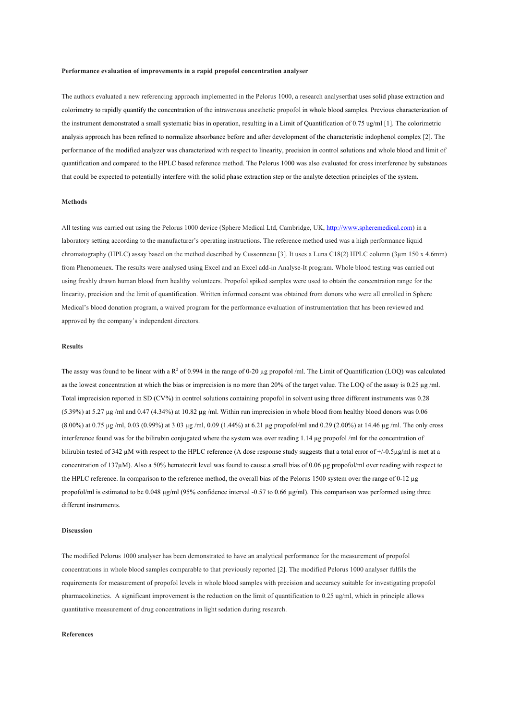#### **Performance evaluation of improvements in a rapid propofol concentration analyser**

The authors evaluated a new referencing approach implemented in the Pelorus 1000, a research analyserthat uses solid phase extraction and colorimetry to rapidly quantify the concentration of the intravenous anesthetic propofol in whole blood samples. Previous characterization of the instrument demonstrated a small systematic bias in operation, resulting in a Limit of Quantification of 0.75 ug/ml [1]. The colorimetric analysis approach has been refined to normalize absorbance before and after development of the characteristic indophenol complex [2]. The performance of the modified analyzer was characterized with respect to linearity, precision in control solutions and whole blood and limit of quantification and compared to the HPLC based reference method. The Pelorus 1000 was also evaluated for cross interference by substances that could be expected to potentially interfere with the solid phase extraction step or the analyte detection principles of the system.

# **Methods**

All testing was carried out using the Pelorus 1000 device (Sphere Medical Ltd, Cambridge, UK, http://www.spheremedical.com) in a laboratory setting according to the manufacturer's operating instructions. The reference method used was a high performance liquid chromatography (HPLC) assay based on the method described by Cussonneau [3]. It uses a Luna C18(2) HPLC column (3µm 150 x 4.6mm) from Phenomenex. The results were analysed using Excel and an Excel add-in Analyse-It program. Whole blood testing was carried out using freshly drawn human blood from healthy volunteers. Propofol spiked samples were used to obtain the concentration range for the linearity, precision and the limit of quantification. Written informed consent was obtained from donors who were all enrolled in Sphere Medical's blood donation program, a waived program for the performance evaluation of instrumentation that has been reviewed and approved by the company's independent directors.

## **Results**

The assay was found to be linear with a  $R^2$  of 0.994 in the range of 0-20 µg propofol /ml. The Limit of Quantification (LOQ) was calculated as the lowest concentration at which the bias or imprecision is no more than 20% of the target value. The LOQ of the assay is 0.25 µg /ml. Total imprecision reported in SD (CV%) in control solutions containing propofol in solvent using three different instruments was 0.28 (5.39%) at 5.27 µg /ml and 0.47 (4.34%) at 10.82 µg /ml. Within run imprecision in whole blood from healthy blood donors was 0.06 (8.00%) at 0.75 µg /ml, 0.03 (0.99%) at 3.03 µg /ml, 0.09 (1.44%) at 6.21 µg propofol/ml and 0.29 (2.00%) at 14.46 µg /ml. The only cross interference found was for the bilirubin conjugated where the system was over reading 1.14 µg propofol /ml for the concentration of bilirubin tested of 342 µM with respect to the HPLC reference (A dose response study suggests that a total error of +/-0.5µg/ml is met at a concentration of 137µM). Also a 50% hematocrit level was found to cause a small bias of 0.06 µg propofol/ml over reading with respect to the HPLC reference. In comparison to the reference method, the overall bias of the Pelorus 1500 system over the range of 0-12 µg propofol/ml is estimated to be 0.048 µg/ml (95% confidence interval -0.57 to 0.66 µg/ml). This comparison was performed using three different instruments.

#### **Discussion**

The modified Pelorus 1000 analyser has been demonstrated to have an analytical performance for the measurement of propofol concentrations in whole blood samples comparable to that previously reported [2]. The modified Pelorus 1000 analyser fulfils the requirements for measurement of propofol levels in whole blood samples with precision and accuracy suitable for investigating propofol pharmacokinetics. A significant improvement is the reduction on the limit of quantification to 0.25 ug/ml, which in principle allows quantitative measurement of drug concentrations in light sedation during research.

## **References**